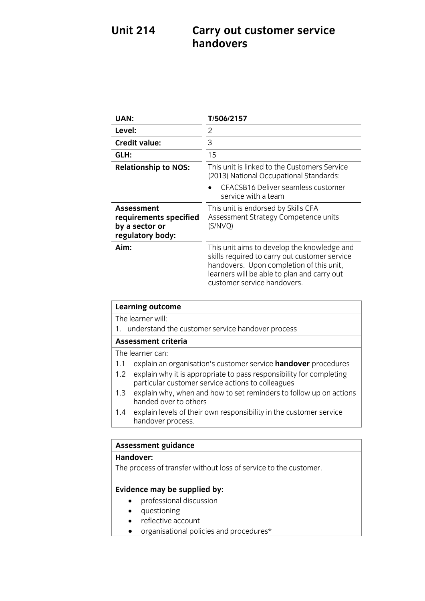## **Carry out customer service handovers Unit 214 handovers**

| UAN:                                                                       | T/506/2157                                                                                                                                                                                                             |
|----------------------------------------------------------------------------|------------------------------------------------------------------------------------------------------------------------------------------------------------------------------------------------------------------------|
| Level:                                                                     | 2                                                                                                                                                                                                                      |
| <b>Credit value:</b>                                                       | 3                                                                                                                                                                                                                      |
| GLH:                                                                       | 15                                                                                                                                                                                                                     |
| <b>Relationship to NOS:</b>                                                | This unit is linked to the Customers Service<br>(2013) National Occupational Standards:                                                                                                                                |
|                                                                            | CFACSB16 Deliver seamless customer<br>service with a team                                                                                                                                                              |
| Assessment<br>requirements specified<br>by a sector or<br>regulatory body: | This unit is endorsed by Skills CFA<br>Assessment Strategy Competence units<br>(S/NVQ)                                                                                                                                 |
| Aim:                                                                       | This unit aims to develop the knowledge and<br>skills required to carry out customer service<br>handovers. Upon completion of this unit,<br>learners will be able to plan and carry out<br>customer service handovers. |

| <b>Learning outcome</b>                             |                                                                                                                          |  |
|-----------------------------------------------------|--------------------------------------------------------------------------------------------------------------------------|--|
|                                                     | The learner will:                                                                                                        |  |
| 1. understand the customer service handover process |                                                                                                                          |  |
| <b>Assessment criteria</b>                          |                                                                                                                          |  |
|                                                     | The learner can:                                                                                                         |  |
| 1.1                                                 | explain an organisation's customer service handover procedures                                                           |  |
| $1.2^{\circ}$                                       | explain why it is appropriate to pass responsibility for completing<br>particular customer service actions to colleagues |  |
| 1.3                                                 | explain why, when and how to set reminders to follow up on actions<br>handed over to others                              |  |
| $1.4^{\circ}$                                       | explain levels of their own responsibility in the customer service<br>handover process.                                  |  |
|                                                     |                                                                                                                          |  |
|                                                     | <b>Assessment guidance</b>                                                                                               |  |
|                                                     | 11                                                                                                                       |  |

### **Handover:**

**Handover:** The process of transfer without loss of service to the customer.

- **Evidence** may be supplied by:
	- questioning
	- reflective account
	- organisational policies and procedures\*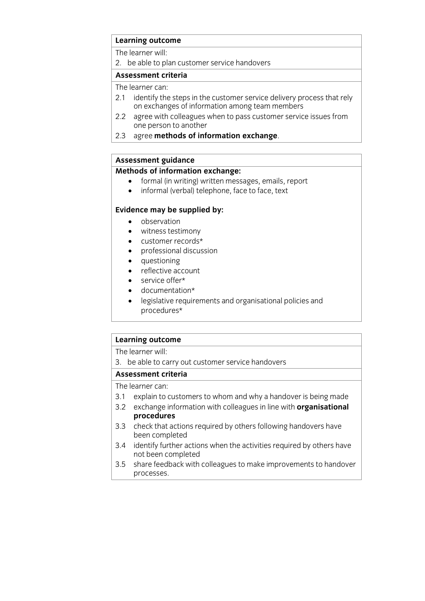## **Learning outcome**<br>The learner will:

2. be able to plan customer service handovers

### Assessment criteria

The learner can:

- 2.1 identify the steps in the customer service delivery process that rely on exchanges of information among team members
- $2.2$ agree with colleagues when to pass customer service issues from one person to another
- one person to another 2.3 agree **methods of information exchange**.

## **Assessment guidance**

- **Methods of informal (in writing) written messages, emails, report**<br> **A** informal (verbal) telephone face to face, text
	- informal (verbal) telephone, face to face, text

- **Evidence may** be supplied by:<br> **•** observation
	- witness testimony
	- customer records\*
	- professional discussion
	- questioning
	- reflective account
	- service offer\*
	- documentation\*
	- legislative requirements and organisational policies and procedures\*

## **Learning outcome**<br>The learner will:

3. be able to carry out customer service handovers

### Assessment criteria

The learner can:

- 3.1 explain to customers to whom and why a handover is being made
- 3.1 Explain to customers to mean and my a handover is being made 3.2 exchange information with colleagues in line with **organisational procedures**<br>3.3 check that actions required by others following handovers have
- been completed
- 3.4 identify further actions when the activities required by others have not been completed
- not been completed 3.5 share feedback with colleagues to make improvements to handover <u>processes</u>.